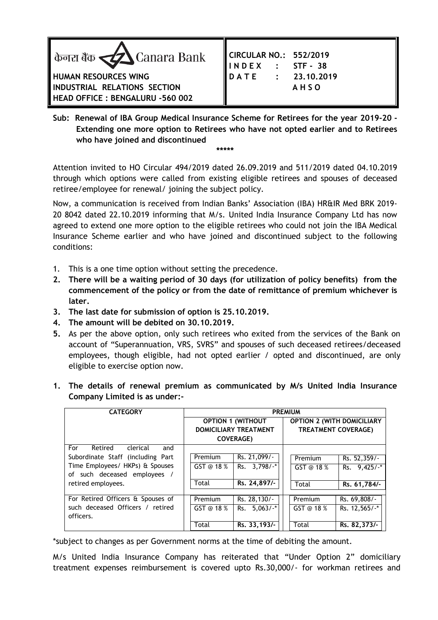

| CIRCULAR NO.: 552/2019<br>INDEX : STF-38<br>DATE : 23.10.201<br>AHSO |  |            |  |  |
|----------------------------------------------------------------------|--|------------|--|--|
|                                                                      |  |            |  |  |
|                                                                      |  | 23.10.2019 |  |  |
|                                                                      |  |            |  |  |
|                                                                      |  |            |  |  |

**Sub: Renewal of IBA Group Medical Insurance Scheme for Retirees for the year 2019-20 - Extending one more option to Retirees who have not opted earlier and to Retirees who have joined and discontinued \*\*\*\*\***

Attention invited to HO Circular 494/2019 dated 26.09.2019 and 511/2019 dated 04.10.2019 through which options were called from existing eligible retirees and spouses of deceased retiree/employee for renewal/ joining the subject policy.

Now, a communication is received from Indian Banks' Association (IBA) HR&IR Med BRK 2019- 20 8042 dated 22.10.2019 informing that M/s. United India Insurance Company Ltd has now agreed to extend one more option to the eligible retirees who could not join the IBA Medical Insurance Scheme earlier and who have joined and discontinued subject to the following conditions:

- 1. This is a one time option without setting the precedence.
- **2. There will be a waiting period of 30 days (for utilization of policy benefits) from the commencement of the policy or from the date of remittance of premium whichever is later.**
- **3. The last date for submission of option is 25.10.2019.**
- **4. The amount will be debited on 30.10.2019.**
- **5.** As per the above option, only such retirees who exited from the services of the Bank on account of "Superannuation, VRS, SVRS" and spouses of such deceased retirees/deceased employees, though eligible, had not opted earlier / opted and discontinued, are only eligible to exercise option now.
- **1. The details of renewal premium as communicated by M/s United India Insurance Company Limited is as under:-**

| <b>CATEGORY</b>                   | <b>PREMIUM</b>               |                          |                                   |               |  |
|-----------------------------------|------------------------------|--------------------------|-----------------------------------|---------------|--|
|                                   |                              | <b>OPTION 1 (WITHOUT</b> | <b>OPTION 2 (WITH DOMICILIARY</b> |               |  |
|                                   | <b>DOMICILIARY TREATMENT</b> |                          | <b>TREATMENT COVERAGE)</b>        |               |  |
|                                   |                              | <b>COVERAGE)</b>         |                                   |               |  |
| For<br>Retired<br>clerical<br>and |                              |                          |                                   |               |  |
| Subordinate Staff (including Part | Premium                      | Rs. 21,099/-             | Premium                           | Rs. 52,359/-  |  |
| Time Employees/ HKPs) & Spouses   | GST @ 18 %                   | Rs. 3,798/-*             | GST @ 18 %                        | Rs. $9,425/·$ |  |
| of such deceased employees /      |                              |                          |                                   |               |  |
| retired employees.                | Total                        | Rs. 24,897/-             | Total                             | Rs. 61,784/-  |  |
|                                   |                              |                          |                                   |               |  |
| For Retired Officers & Spouses of | Premium                      | Rs. 28, 130/-            | Premium                           | Rs. 69,808/-  |  |
| such deceased Officers / retired  | GST @ 18 $%$                 | Rs. $5.063/·$            | GST @ 18 %                        | Rs. 12,565/-* |  |
| officers.                         |                              |                          |                                   |               |  |
|                                   | Total                        | Rs. 33, 193/-            | Total                             | Rs. 82,373/-  |  |

\*subject to changes as per Government norms at the time of debiting the amount.

M/s United India Insurance Company has reiterated that "Under Option 2" domiciliary treatment expenses reimbursement is covered upto Rs.30,000/- for workman retirees and